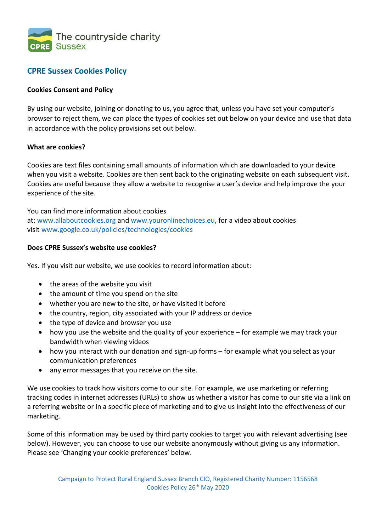

# **CPRE Sussex Cookies Policy**

# **Cookies Consent and Policy**

By using our website, joining or donating to us, you agree that, unless you have set your computer's browser to reject them, we can place the types of cookies set out below on your device and use that data in accordance with the policy provisions set out below.

# **What are cookies?**

Cookies are text files containing small amounts of information which are downloaded to your device when you visit a website. Cookies are then sent back to the originating website on each subsequent visit. Cookies are useful because they allow a website to recognise a user's device and help improve the your experience of the site.

You can find more information about cookies at: [www.allaboutcookies.org](http://www.allaboutcookies.org/) and [www.youronlinechoices.eu,](http://www.youronlinechoices.eu/) for a video about cookies visit [www.google.co.uk/policies/technologies/cookies](http://www.google.co.uk/policies/technologies/cookies)

#### **Does CPRE Sussex's website use cookies?**

Yes. If you visit our website, we use cookies to record information about:

- the areas of the website you visit
- the amount of time you spend on the site
- whether you are new to the site, or have visited it before
- the country, region, city associated with your IP address or device
- the type of device and browser you use
- how you use the website and the quality of your experience for example we may track your bandwidth when viewing videos
- how you interact with our donation and sign-up forms for example what you select as your communication preferences
- any error messages that you receive on the site.

We use cookies to track how visitors come to our site. For example, we use marketing or referring tracking codes in internet addresses (URLs) to show us whether a visitor has come to our site via a link on a referring website or in a specific piece of marketing and to give us insight into the effectiveness of our marketing.

Some of this information may be used by third party cookies to target you with relevant advertising (see below). However, you can choose to use our website anonymously without giving us any information. Please see 'Changing your cookie preferences' below.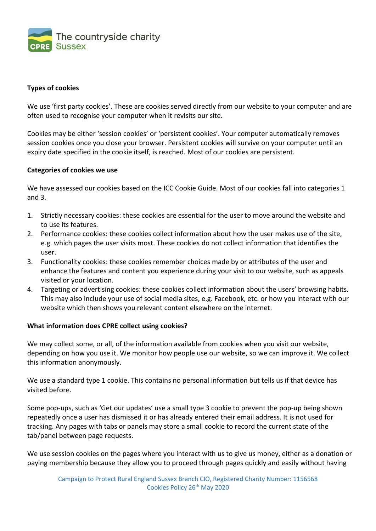

#### **Types of cookies**

We use 'first party cookies'. These are cookies served directly from our website to your computer and are often used to recognise your computer when it revisits our site.

Cookies may be either 'session cookies' or 'persistent cookies'. Your computer automatically removes session cookies once you close your browser. Persistent cookies will survive on your computer until an expiry date specified in the cookie itself, is reached. Most of our cookies are persistent.

#### **Categories of cookies we use**

We have assessed our cookies based on the ICC Cookie Guide. Most of our cookies fall into categories 1 and 3.

- 1. Strictly necessary cookies: these cookies are essential for the user to move around the website and to use its features.
- 2. Performance cookies: these cookies collect information about how the user makes use of the site, e.g. which pages the user visits most. These cookies do not collect information that identifies the user.
- 3. Functionality cookies: these cookies remember choices made by or attributes of the user and enhance the features and content you experience during your visit to our website, such as appeals visited or your location.
- 4. Targeting or advertising cookies: these cookies collect information about the users' browsing habits. This may also include your use of social media sites, e.g. Facebook, etc. or how you interact with our website which then shows you relevant content elsewhere on the internet.

#### **What information does CPRE collect using cookies?**

We may collect some, or all, of the information available from cookies when you visit our website, depending on how you use it. We monitor how people use our website, so we can improve it. We collect this information anonymously.

We use a standard type 1 cookie. This contains no personal information but tells us if that device has visited before.

Some pop-ups, such as 'Get our updates' use a small type 3 cookie to prevent the pop-up being shown repeatedly once a user has dismissed it or has already entered their email address. It is not used for tracking. Any pages with tabs or panels may store a small cookie to record the current state of the tab/panel between page requests.

We use session cookies on the pages where you interact with us to give us money, either as a donation or paying membership because they allow you to proceed through pages quickly and easily without having